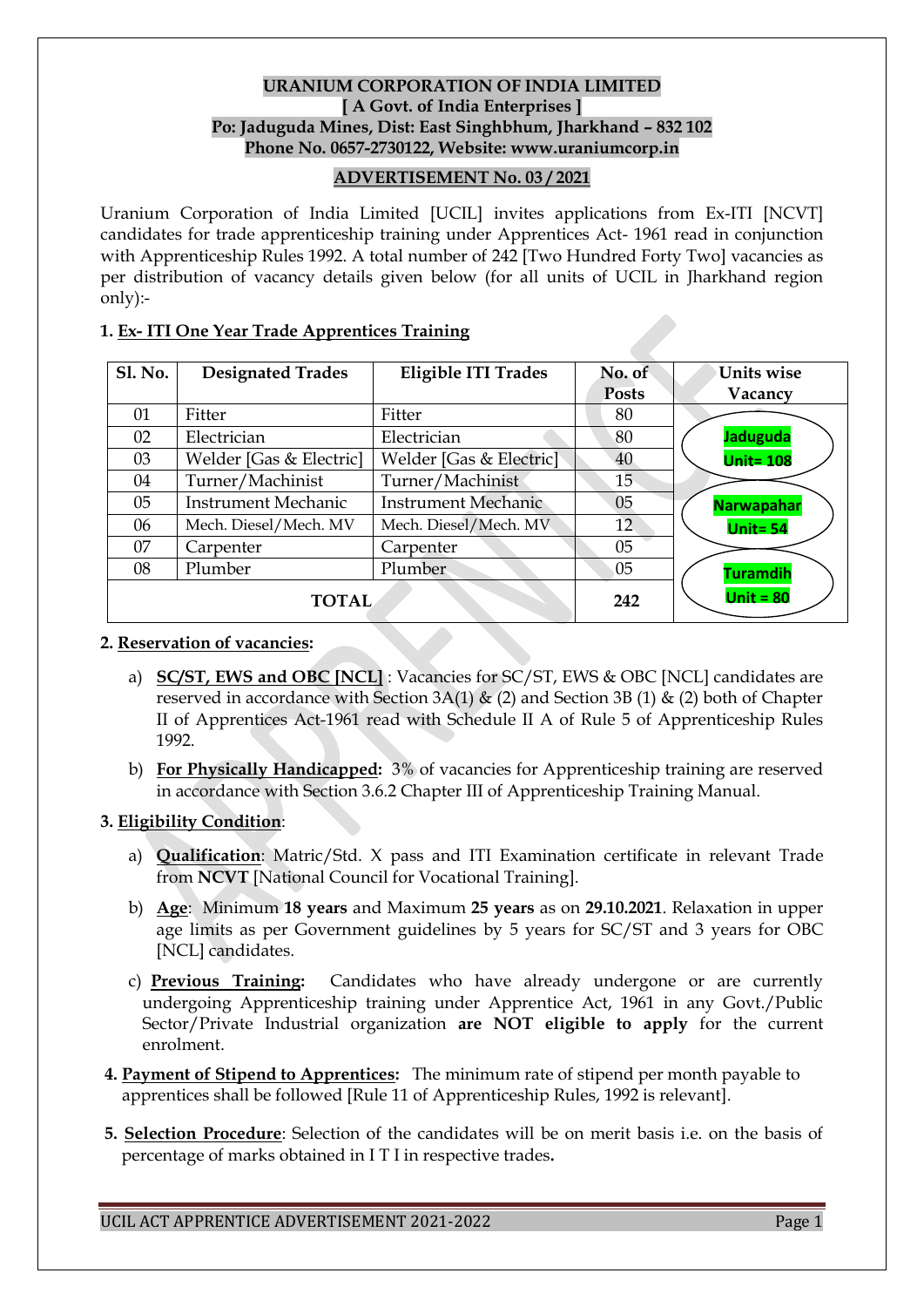## **URANIUM CORPORATION OF INDIA LIMITED [ A Govt. of India Enterprises ] Po: Jaduguda Mines, Dist: East Singhbhum, Jharkhand – 832 102 Phone No. 0657-2730122, Website: www.uraniumcorp.in**

### **ADVERTISEMENT No. 03 / 2021**

Uranium Corporation of India Limited [UCIL] invites applications from Ex-ITI [NCVT] candidates for trade apprenticeship training under Apprentices Act- 1961 read in conjunction with Apprenticeship Rules 1992. A total number of 242 [Two Hundred Forty Two] vacancies as per distribution of vacancy details given below (for all units of UCIL in Jharkhand region only):-

### **1. Ex- ITI One Year Trade Apprentices Training**

| <b>Sl. No.</b> | <b>Designated Trades</b>   | Eligible ITI Trades        | No. of          | Units wise        |
|----------------|----------------------------|----------------------------|-----------------|-------------------|
|                |                            |                            | <b>Posts</b>    | Vacancy           |
| 01             | Fitter                     | Fitter                     | 80              |                   |
| 02             | Electrician                | Electrician                | 80              | <b>Jaduguda</b>   |
| 03             | Welder [Gas & Electric]    | Welder [Gas & Electric]    | 40              | <b>Unit= 108</b>  |
| 04             | Turner/Machinist           | Turner/Machinist           | 15 <sup>5</sup> |                   |
| 05             | <b>Instrument Mechanic</b> | <b>Instrument Mechanic</b> | 05              | <b>Narwapahar</b> |
| 06             | Mech. Diesel/Mech. MV      | Mech. Diesel/Mech. MV      | 12              | Unit= $54$        |
| 07             | Carpenter                  | Carpenter                  | 05              |                   |
| 08             | Plumber                    | Plumber                    | 05              | <b>Turamdih</b>   |
| <b>TOTAL</b>   |                            |                            | 242             | Unit = $80$       |

#### **2. Reservation of vacancies:**

- a) **SC/ST, EWS and OBC [NCL]** : Vacancies for SC/ST, EWS & OBC [NCL] candidates are reserved in accordance with Section 3A(1)  $\&$  (2) and Section 3B (1)  $\&$  (2) both of Chapter II of Apprentices Act-1961 read with Schedule II A of Rule 5 of Apprenticeship Rules 1992.
- b) **For Physically Handicapped:** 3% of vacancies for Apprenticeship training are reserved in accordance with Section 3.6.2 Chapter III of Apprenticeship Training Manual.

#### **3. Eligibility Condition**:

- a) **Qualification**: Matric/Std. X pass and ITI Examination certificate in relevant Trade from **NCVT** [National Council for Vocational Training].
- b) **Age**: Minimum **18 years** and Maximum **25 years** as on **29.10.2021**. Relaxation in upper age limits as per Government guidelines by 5 years for SC/ST and 3 years for OBC [NCL] candidates.
- c) **Previous Training:** Candidates who have already undergone or are currently undergoing Apprenticeship training under Apprentice Act, 1961 in any Govt./Public Sector/Private Industrial organization **are NOT eligible to apply** for the current enrolment.
- **4. Payment of Stipend to Apprentices:** The minimum rate of stipend per month payable to apprentices shall be followed [Rule 11 of Apprenticeship Rules, 1992 is relevant].
- **5. Selection Procedure**: Selection of the candidates will be on merit basis i.e. on the basis of percentage of marks obtained in I T I in respective trades**.**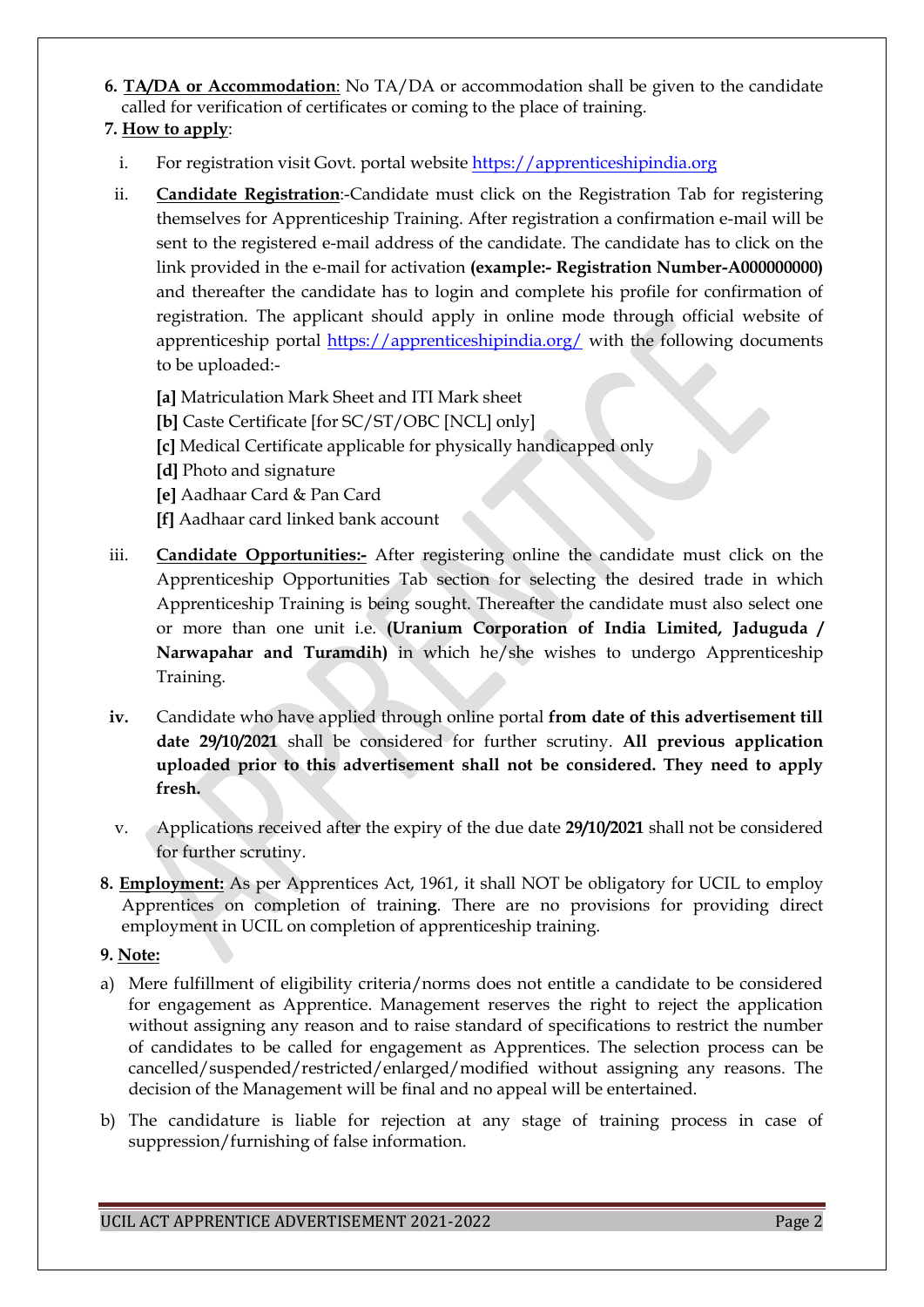**6. TA/DA or Accommodation**: No TA/DA or accommodation shall be given to the candidate called for verification of certificates or coming to the place of training.

# **7. How to apply**:

- i. For registration visit Govt. portal website [https://apprenticeshipindia.org](https://apprenticeshipindia.org/)
- ii. **Candidate Registration**:-Candidate must click on the Registration Tab for registering themselves for Apprenticeship Training. After registration a confirmation e-mail will be sent to the registered e-mail address of the candidate. The candidate has to click on the link provided in the e-mail for activation **(example:- Registration Number-A000000000)** and thereafter the candidate has to login and complete his profile for confirmation of registration. The applicant should apply in online mode through official website of apprenticeship portal <https://apprenticeshipindia.org/> with the following documents to be uploaded:-
	- **[a]** Matriculation Mark Sheet and ITI Mark sheet
	- **[b]** Caste Certificate [for SC/ST/OBC [NCL] only]
	- **[c]** Medical Certificate applicable for physically handicapped only
	- **[d]** Photo and signature
	- **[e]** Aadhaar Card & Pan Card
	- **[f]** Aadhaar card linked bank account
- iii. **Candidate Opportunities:-** After registering online the candidate must click on the Apprenticeship Opportunities Tab section for selecting the desired trade in which Apprenticeship Training is being sought. Thereafter the candidate must also select one or more than one unit i.e. **(Uranium Corporation of India Limited, Jaduguda / Narwapahar and Turamdih)** in which he/she wishes to undergo Apprenticeship Training.
- **iv.** Candidate who have applied through online portal **from date of this advertisement till date 29/10/2021** shall be considered for further scrutiny. **All previous application uploaded prior to this advertisement shall not be considered. They need to apply fresh.**
- v. Applications received after the expiry of the due date **29/10/2021** shall not be considered for further scrutiny.
- **8. Employment:** As per Apprentices Act, 1961, it shall NOT be obligatory for UCIL to employ Apprentices on completion of trainin**g**. There are no provisions for providing direct employment in UCIL on completion of apprenticeship training.

## **9. Note:**

- a) Mere fulfillment of eligibility criteria/norms does not entitle a candidate to be considered for engagement as Apprentice. Management reserves the right to reject the application without assigning any reason and to raise standard of specifications to restrict the number of candidates to be called for engagement as Apprentices. The selection process can be cancelled/suspended/restricted/enlarged/modified without assigning any reasons. The decision of the Management will be final and no appeal will be entertained.
- b) The candidature is liable for rejection at any stage of training process in case of suppression/furnishing of false information.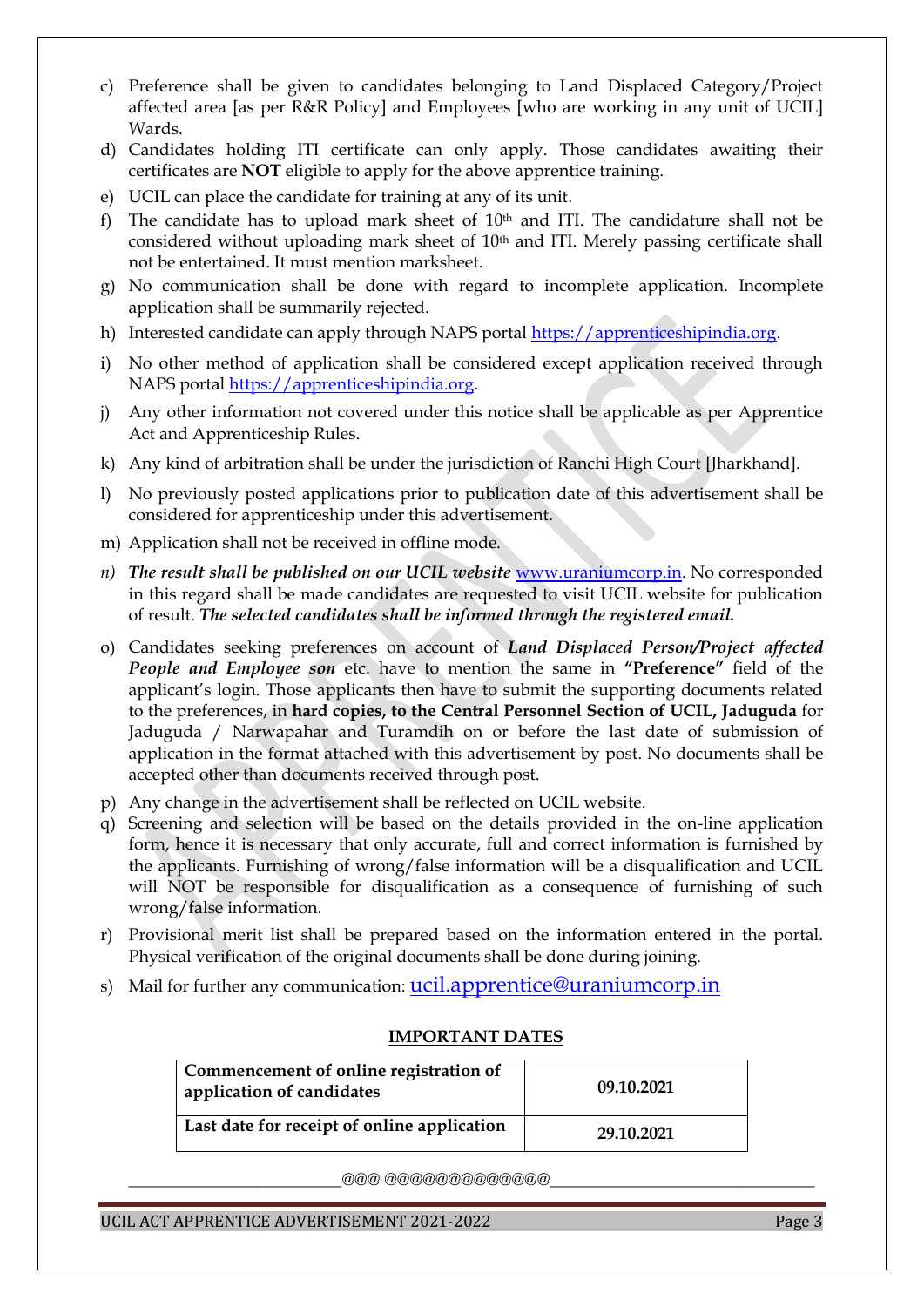- c) Preference shall be given to candidates belonging to Land Displaced Category/Project affected area [as per R&R Policy] and Employees [who are working in any unit of UCIL] Wards.
- d) Candidates holding ITI certificate can only apply. Those candidates awaiting their certificates are **NOT** eligible to apply for the above apprentice training.
- e) UCIL can place the candidate for training at any of its unit.
- f) The candidate has to upload mark sheet of  $10<sup>th</sup>$  and ITI. The candidature shall not be considered without uploading mark sheet of 10th and ITI. Merely passing certificate shall not be entertained. It must mention marksheet.
- g) No communication shall be done with regard to incomplete application. Incomplete application shall be summarily rejected.
- h) Interested candidate can apply through NAPS portal [https://apprenticeshipindia.org.](https://apprenticeshipindia.org/)
- i) No other method of application shall be considered except application received through NAPS porta[l https://apprenticeshipindia.org](https://apprenticeshipindia.org/).
- j) Any other information not covered under this notice shall be applicable as per Apprentice Act and Apprenticeship Rules.
- k) Any kind of arbitration shall be under the jurisdiction of Ranchi High Court [Jharkhand].
- l) No previously posted applications prior to publication date of this advertisement shall be considered for apprenticeship under this advertisement.
- m) Application shall not be received in offline mode.
- *n) The result shall be published on our UCIL website* [www.uraniumcorp.in.](http://www.uraniumcorp.in/) No corresponded in this regard shall be made candidates are requested to visit UCIL website for publication of result. *The selected candidates shall be informed through the registered email.*
- o) Candidates seeking preferences on account of *Land Displaced Person/Project affected People and Employee son* etc. have to mention the same in **"Preference"** field of the applicant's login. Those applicants then have to submit the supporting documents related to the preferences, in **hard copies, to the Central Personnel Section of UCIL, Jaduguda** for Jaduguda / Narwapahar and Turamdih on or before the last date of submission of application in the format attached with this advertisement by post. No documents shall be accepted other than documents received through post.
- p) Any change in the advertisement shall be reflected on UCIL website.
- q) Screening and selection will be based on the details provided in the on-line application form, hence it is necessary that only accurate, full and correct information is furnished by the applicants. Furnishing of wrong/false information will be a disqualification and UCIL will NOT be responsible for disqualification as a consequence of furnishing of such wrong/false information.
- r) Provisional merit list shall be prepared based on the information entered in the portal. Physical verification of the original documents shall be done during joining.
- s) Mail for further any communication: [ucil.apprentice@uraniumcorp.in](http://www.uraniumcorp.in/)

| Commencement of online registration of<br>application of candidates | 09.10.2021 |
|---------------------------------------------------------------------|------------|
| Last date for receipt of online application                         | 29.10.2021 |

#### **IMPORTANT DATES**

 $\_a\_a\_a\_a\_a\_a\_a\_a\_a\_a\_a$ 

UCIL ACT APPRENTICE ADVERTISEMENT 2021-2022 Page 3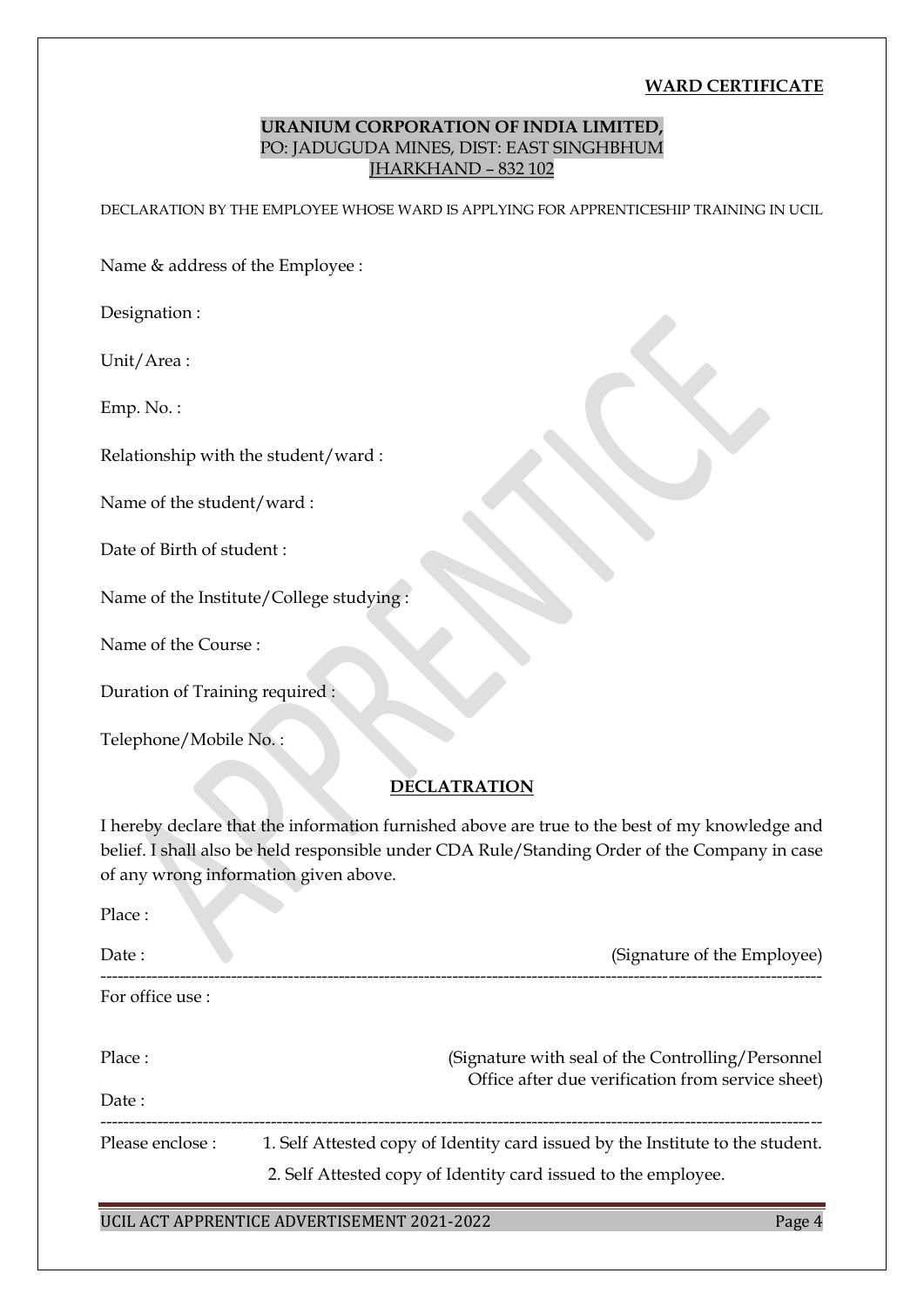#### **WARD CERTIFICATE**

## **URANIUM CORPORATION OF INDIA LIMITED,** PO: JADUGUDA MINES, DIST: EAST SINGHBHUM JHARKHAND – 832 102

DECLARATION BY THE EMPLOYEE WHOSE WARD IS APPLYING FOR APPRENTICESHIP TRAINING IN UCIL

Name & address of the Employee :

Designation :

Unit/Area :

Emp. No. :

Relationship with the student/ward :

Name of the student/ward :

Date of Birth of student :

Name of the Institute/College studying :

Name of the Course :

Duration of Training required :

Telephone/Mobile No. :

#### **DECLATRATION**

I hereby declare that the information furnished above are true to the best of my knowledge and belief. I shall also be held responsible under CDA Rule/Standing Order of the Company in case of any wrong information given above.

| Place:           |                                                                                |
|------------------|--------------------------------------------------------------------------------|
| Date:            | (Signature of the Employee)                                                    |
| For office use : |                                                                                |
| Place:           | (Signature with seal of the Controlling/Personnel)                             |
| Date:            | Office after due verification from service sheet)                              |
| Please enclose : | 1. Self Attested copy of Identity card issued by the Institute to the student. |
|                  | 2. Self Attested copy of Identity card issued to the employee.                 |

#### UCIL ACT APPRENTICE ADVERTISEMENT 2021-2022 Page 4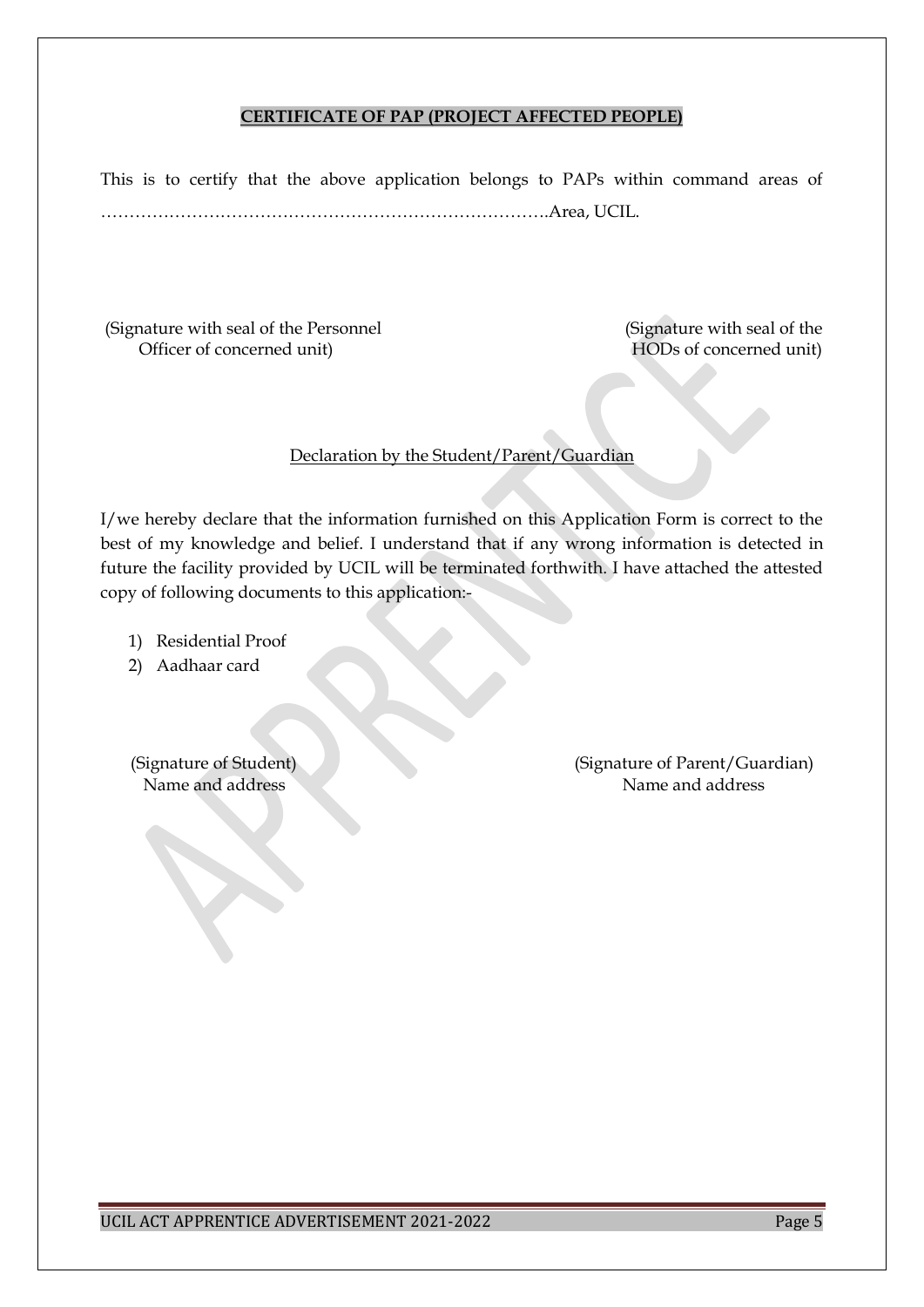#### **CERTIFICATE OF PAP (PROJECT AFFECTED PEOPLE)**

This is to certify that the above application belongs to PAPs within command areas of …………………………………………………………………….Area, UCIL.

(Signature with seal of the Personnel (Signature with seal of the Officer of concerned unit) HODs of concerned unit)

Declaration by the Student/Parent/Guardian

I/we hereby declare that the information furnished on this Application Form is correct to the best of my knowledge and belief. I understand that if any wrong information is detected in future the facility provided by UCIL will be terminated forthwith. I have attached the attested copy of following documents to this application:-

- 1) Residential Proof
- 2) Aadhaar card

 (Signature of Student) (Signature of Parent/Guardian) Name and address Name and address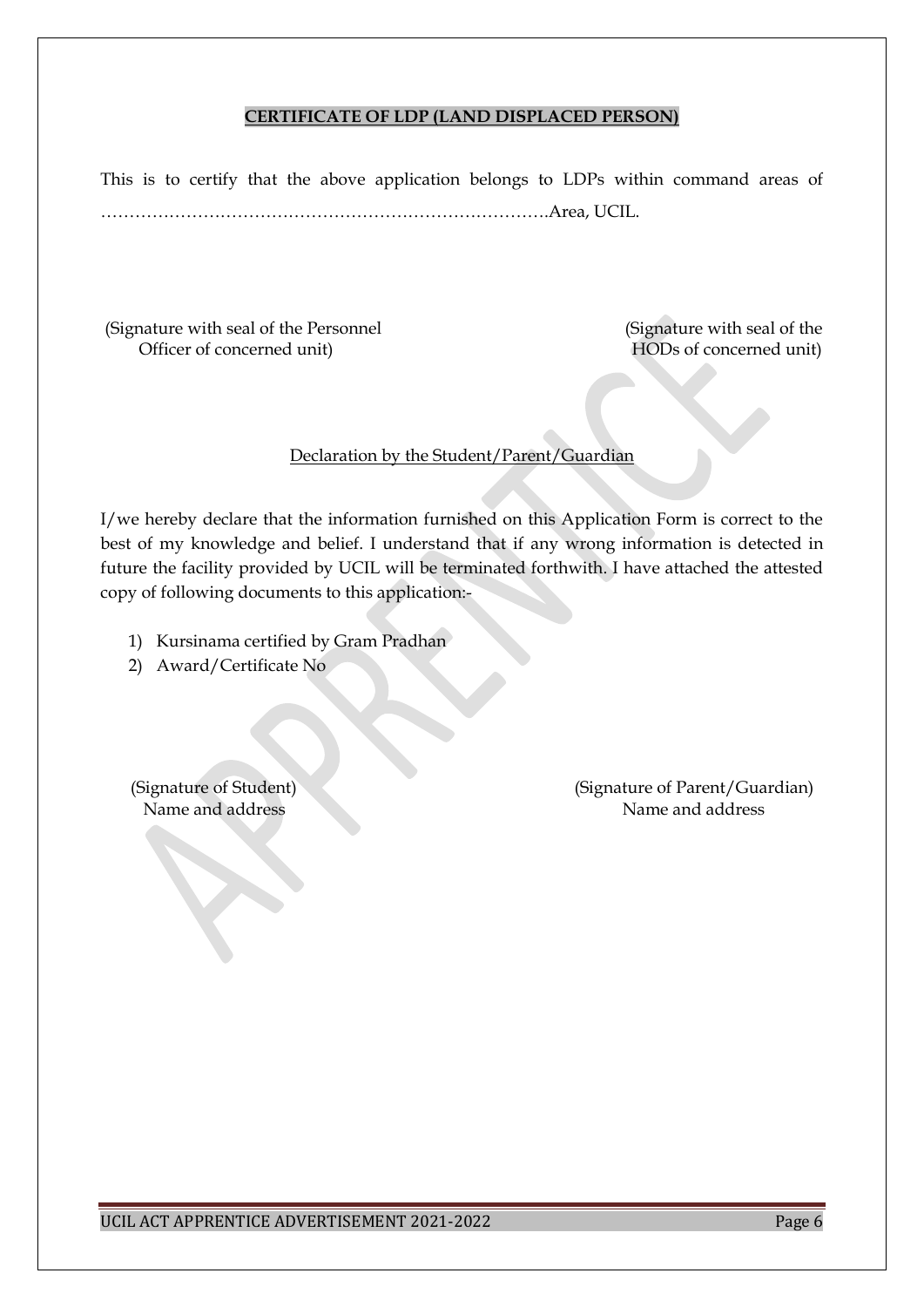#### **CERTIFICATE OF LDP (LAND DISPLACED PERSON)**

This is to certify that the above application belongs to LDPs within command areas of …………………………………………………………………….Area, UCIL.

(Signature with seal of the Personnel (Signature with seal of the Officer of concerned unit) HODs of concerned unit)

### Declaration by the Student/Parent/Guardian

I/we hereby declare that the information furnished on this Application Form is correct to the best of my knowledge and belief. I understand that if any wrong information is detected in future the facility provided by UCIL will be terminated forthwith. I have attached the attested copy of following documents to this application:-

- 1) Kursinama certified by Gram Pradhan
- 2) Award/Certificate No

(Signature of Student) (Signature of Parent/Guardian) (Signature of Parent/Guardian) Name and address Name and address